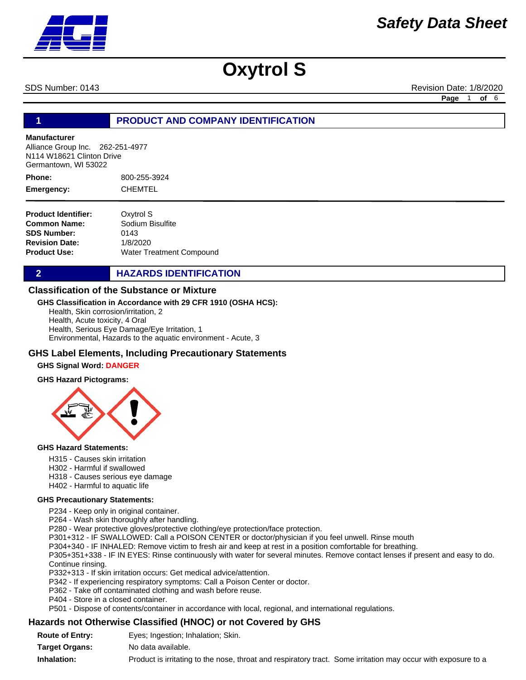SDS Number: 0143 **Revision Date: 1/8/2020** Revision Date: 1/8/2020

**Page** 1 **of** 6

# **1 PRODUCT AND COMPANY IDENTIFICATION**

#### **Manufacturer**

Alliance Group Inc. 262-251-4977 N114 W18621 Clinton Drive Germantown, WI 53022

800-255-3924 CHEMTEL **Phone: Emergency:**

| <b>Product Identifier:</b> | Oxytrol S                       |
|----------------------------|---------------------------------|
| Common Name:               | Sodium Bisulfite                |
| <b>SDS Number:</b>         | 0143                            |
| <b>Revision Date:</b>      | 1/8/2020                        |
| Product Use:               | <b>Water Treatment Compound</b> |

**2 HAZARDS IDENTIFICATION** 

## **Classification of the Substance or Mixture**

### **GHS Classification in Accordance with 29 CFR 1910 (OSHA HCS):**

Health, Skin corrosion/irritation, 2 Health, Acute toxicity, 4 Oral Health, Serious Eye Damage/Eye Irritation, 1 Environmental, Hazards to the aquatic environment - Acute, 3

## **GHS Label Elements, Including Precautionary Statements**

### **GHS Signal Word: DANGER**

#### **GHS Hazard Pictograms:**



#### **GHS Hazard Statements:**

- H315 Causes skin irritation
- H302 Harmful if swallowed
- H318 Causes serious eye damage
- H402 Harmful to aquatic life

#### **GHS Precautionary Statements:**

P234 - Keep only in original container.

P264 - Wash skin thoroughly after handling.

P280 - Wear protective gloves/protective clothing/eye protection/face protection.

P301+312 - IF SWALLOWED: Call a POISON CENTER or doctor/physician if you feel unwell. Rinse mouth

P304+340 - IF INHALED: Remove victim to fresh air and keep at rest in a position comfortable for breathing.

P305+351+338 - IF IN EYES: Rinse continuously with water for several minutes. Remove contact lenses if present and easy to do. Continue rinsing.

P332+313 - If skin irritation occurs: Get medical advice/attention.

P342 - If experiencing respiratory symptoms: Call a Poison Center or doctor.

P362 - Take off contaminated clothing and wash before reuse.

P404 - Store in a closed container.

P501 - Dispose of contents/container in accordance with local, regional, and international regulations.

## **Hazards not Otherwise Classified (HNOC) or not Covered by GHS**

| <b>Route of Entry:</b> | Eyes; Ingestion; Inhalation; Skin.                                                                            |
|------------------------|---------------------------------------------------------------------------------------------------------------|
| <b>Target Organs:</b>  | No data available.                                                                                            |
| Inhalation:            | Product is irritating to the nose, throat and respiratory tract. Some irritation may occur with exposure to a |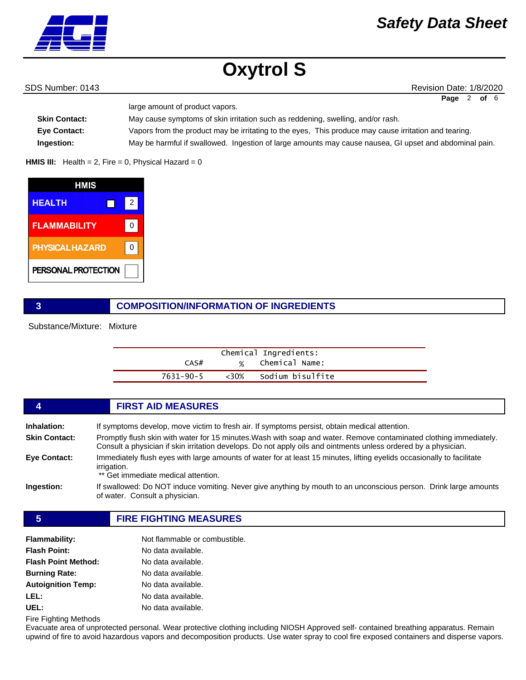

SDS Number: 0143 **Revision Date: 1/8/2020** Revision Date: 1/8/2020

| Page 2 of 6 |  |  |
|-------------|--|--|
|             |  |  |

| <b>Skin Contact:</b> | May cause symptoms of skin irritation such as reddening, swelling, and/or rash.                        |
|----------------------|--------------------------------------------------------------------------------------------------------|
| <b>Eve Contact:</b>  | Vapors from the product may be irritating to the eyes, This produce may cause irritation and tearing.  |
| Ingestion:           | May be harmful if swallowed. Ingestion of large amounts may cause nausea, GI upset and abdominal pain. |

**HMIS III:** Health = 2, Fire = 0, Physical Hazard =  $0$ 

large amount of product vapors.

| HMIS                   |   |  |
|------------------------|---|--|
| <b>HEALTH</b>          | 2 |  |
| <b>FLAMMABILITY</b>    |   |  |
| <b>PHYSICAL HAZARD</b> |   |  |
| PERSONAL PROTECTION    |   |  |

# **3 COMPOSITION/INFORMATION OF INGREDIENTS**

Substance/Mixture: Mixture

|           |               | Chemical Ingredients: |
|-----------|---------------|-----------------------|
| CAS#      | $\frac{1}{2}$ | Chemical Name:        |
| 7631-90-5 | <30%          | Sodium bisulfite      |

|                      | <b>FIRST AID MEASURES</b>                                                                                                                                                                                                             |
|----------------------|---------------------------------------------------------------------------------------------------------------------------------------------------------------------------------------------------------------------------------------|
| Inhalation:          | If symptoms develop, move victim to fresh air. If symptoms persist, obtain medical attention.                                                                                                                                         |
| <b>Skin Contact:</b> | Promptly flush skin with water for 15 minutes. Wash with soap and water. Remove contaminated clothing immediately.<br>Consult a physician if skin irritation develops. Do not apply oils and ointments unless ordered by a physician. |
| Eye Contact:         | Immediately flush eyes with large amounts of water for at least 15 minutes, lifting eyelids occasionally to facilitate<br>irrigation.<br>** Get immediate medical attention.                                                          |
| Ingestion:           | If swallowed: Do NOT induce vomiting. Never give anything by mouth to an unconscious person. Drink large amounts<br>of water. Consult a physician.                                                                                    |

# **5 FIRE FIGHTING MEASURES**

| <b>Flammability:</b>       | Not flammable or combustible. |
|----------------------------|-------------------------------|
| <b>Flash Point:</b>        | No data available.            |
| <b>Flash Point Method:</b> | No data available.            |
| <b>Burning Rate:</b>       | No data available.            |
| <b>Autoignition Temp:</b>  | No data available.            |
| LEL:                       | No data available.            |
| UEL:                       | No data available.            |

Fire Fighting Methods

Evacuate area of unprotected personal. Wear protective clothing including NIOSH Approved self- contained breathing apparatus. Remain upwind of fire to avoid hazardous vapors and decomposition products. Use water spray to cool fire exposed containers and disperse vapors.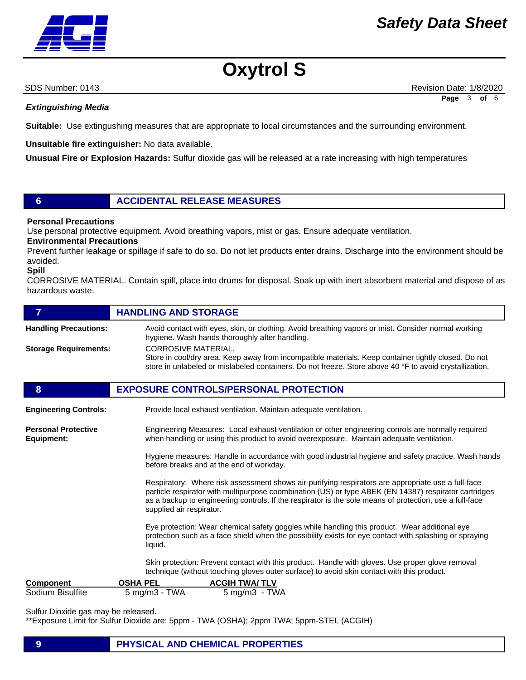

SDS Number: 0143 **Revision Date: 1/8/2020** Revision Date: 1/8/2020 **Page** 3 **of** 6

*Extinguishing Media*

**Suitable:** Use extingushing measures that are appropriate to local circumstances and the surrounding environment.

**Unsuitable fire extinguisher:** No data available.

**Unusual Fire or Explosion Hazards:** Sulfur dioxide gas will be released at a rate increasing with high temperatures

# **6 ACCIDENTAL RELEASE MEASURES**

## **Personal Precautions**

Use personal protective equipment. Avoid breathing vapors, mist or gas. Ensure adequate ventilation.

**Environmental Precautions** 

Prevent further leakage or spillage if safe to do so. Do not let products enter drains. Discharge into the environment should be avoided.

#### **Spill**

CORROSIVE MATERIAL. Contain spill, place into drums for disposal. Soak up with inert absorbent material and dispose of as hazardous waste.

| 7                                        | <b>HANDLING AND STORAGE</b>                                                                                                                                                                                                                                                                                                                        |  |  |
|------------------------------------------|----------------------------------------------------------------------------------------------------------------------------------------------------------------------------------------------------------------------------------------------------------------------------------------------------------------------------------------------------|--|--|
| <b>Handling Precautions:</b>             | Avoid contact with eyes, skin, or clothing. Avoid breathing vapors or mist. Consider normal working<br>hygiene. Wash hands thoroughly after handling.                                                                                                                                                                                              |  |  |
| <b>Storage Requirements:</b>             | <b>CORROSIVE MATERIAL.</b><br>Store in cool/dry area. Keep away from incompatible materials. Keep container tightly closed. Do not<br>store in unlabeled or mislabeled containers. Do not freeze. Store above 40 °F to avoid crystallization.                                                                                                      |  |  |
| 8                                        | <b>EXPOSURE CONTROLS/PERSONAL PROTECTION</b>                                                                                                                                                                                                                                                                                                       |  |  |
| <b>Engineering Controls:</b>             | Provide local exhaust ventilation. Maintain adequate ventilation.                                                                                                                                                                                                                                                                                  |  |  |
| <b>Personal Protective</b><br>Equipment: | Engineering Measures: Local exhaust ventilation or other engineering conrols are normally required<br>when handling or using this product to avoid overexposure. Maintain adequate ventilation.                                                                                                                                                    |  |  |
|                                          | Hygiene measures: Handle in accordance with good industrial hygiene and safety practice. Wash hands<br>before breaks and at the end of workday.                                                                                                                                                                                                    |  |  |
|                                          | Respiratory: Where risk assessment shows air-purifying respirators are appropriate use a full-face<br>particle respirator with multipurpose coombination (US) or type ABEK (EN 14387) respirator cartridges<br>as a backup to engineering controls. If the respirator is the sole means of protection, use a full-face<br>supplied air respirator. |  |  |
|                                          | Eye protection: Wear chemical safety goggles while handling this product. Wear additional eye<br>protection such as a face shield when the possibility exists for eye contact with splashing or spraying<br>liquid.                                                                                                                                |  |  |
|                                          | Skin protection: Prevent contact with this product. Handle with gloves. Use proper glove removal<br>technique (without touching gloves outer surface) to avoid skin contact with this product.                                                                                                                                                     |  |  |
| <b>Component</b>                         | <b>OSHA PEL</b><br><b>ACGIH TWA/TLV</b>                                                                                                                                                                                                                                                                                                            |  |  |
| Sodium Bisulfite                         | $5 \text{ mg/m}$ $3 \text{ - TWA}$<br>$5 \text{ mg/m}$ 3 - TWA                                                                                                                                                                                                                                                                                     |  |  |

Sulfur Dioxide gas may be released.

\*\*Exposure Limit for Sulfur Dioxide are: 5ppm - TWA (OSHA); 2ppm TWA; 5ppm-STEL (ACGIH)

# **9 PHYSICAL AND CHEMICAL PROPERTIES**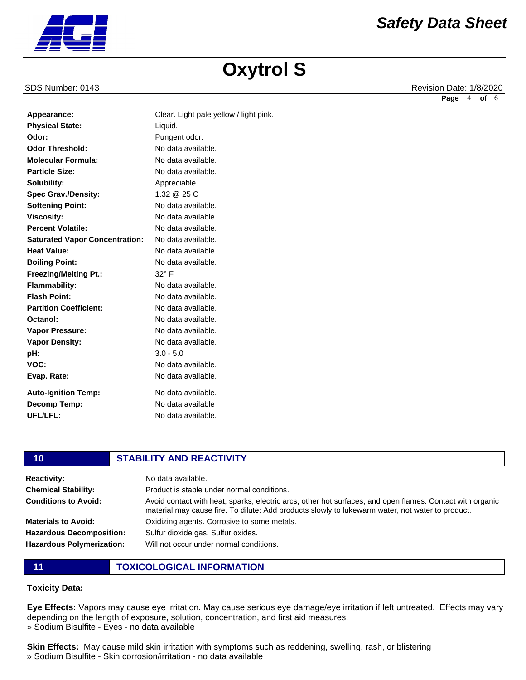**Physical State:**

**Odor Threshold: Molecular Formula: Particle Size: Solubility:**

**Spec Grav./Density: Softening Point: Viscosity: Percent Volatile:**

**Partition Coefficient:**

**Auto-Ignition Temp: Decomp Temp: UFL/LFL:**

**Vapor Pressure: Vapor Density:**

**Octanol:**

**pH: VOC: Evap. Rate:**

**Odor:**

SDS Number: 0143 **Revision Date: 1/8/2020** Revision Date: 1/8/2020 **Page** 4 **of** 6

| <b>Softening Point:</b>               | No data available. |
|---------------------------------------|--------------------|
| <b>Viscosity:</b>                     | No data available. |
| <b>Percent Volatile:</b>              | No data available. |
| <b>Saturated Vapor Concentration:</b> | No data available. |
| <b>Heat Value:</b>                    | No data available. |
| <b>Boiling Point:</b>                 | No data available. |
| <b>Freezing/Melting Pt.:</b>          | $32^\circ$ F       |
| <b>Flammability:</b>                  | No data available. |
| <b>Flash Point:</b>                   | No data available  |

Appearance: Clear. Light pale yellow / light pink.

Liquid. Pungent odor. No data available. No data available. No data available. Appreciable. 1.32 @ 25 C

No data available. No data available. No data available. No data available.

No data available. No data available. No data available. No data available No data available.

**10 STABILITY AND REACTIVITY**

3.0 - 5.0

| - 1 V                            | STABILIT AND REACTIVITT                                                                                                                                                                                       |
|----------------------------------|---------------------------------------------------------------------------------------------------------------------------------------------------------------------------------------------------------------|
| <b>Reactivity:</b>               | No data available.                                                                                                                                                                                            |
| <b>Chemical Stability:</b>       | Product is stable under normal conditions.                                                                                                                                                                    |
| <b>Conditions to Avoid:</b>      | Avoid contact with heat, sparks, electric arcs, other hot surfaces, and open flames. Contact with organic<br>material may cause fire. To dilute: Add products slowly to lukewarm water, not water to product. |
| <b>Materials to Avoid:</b>       | Oxidizing agents. Corrosive to some metals.                                                                                                                                                                   |
| <b>Hazardous Decomposition:</b>  | Sulfur dioxide gas. Sulfur oxides.                                                                                                                                                                            |
| <b>Hazardous Polymerization:</b> | Will not occur under normal conditions.                                                                                                                                                                       |
|                                  |                                                                                                                                                                                                               |

**11 TOXICOLOGICAL INFORMATION**

# **Toxicity Data:**

**Eye Effects:** Vapors may cause eye irritation. May cause serious eye damage/eye irritation if left untreated. Effects may vary depending on the length of exposure, solution, concentration, and first aid measures. » Sodium Bisulfite - Eyes - no data available

**Skin Effects:** May cause mild skin irritation with symptoms such as reddening, swelling, rash, or blistering » Sodium Bisulfite - Skin corrosion/irritation - no data available

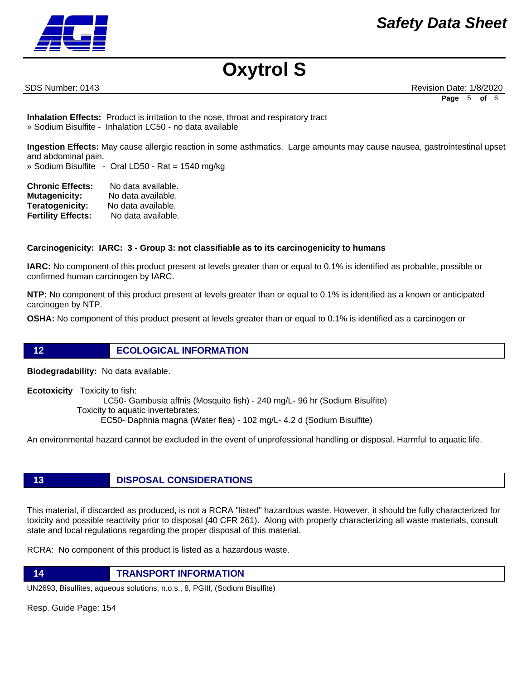

SDS Number: 0143 **Revision Date: 1/8/2020** Revision Date: 1/8/2020 **Page** 5 **of** 6

**Inhalation Effects:** Product is irritation to the nose, throat and respiratory tract » Sodium Bisulfite - Inhalation LC50 - no data available

**Ingestion Effects:** May cause allergic reaction in some asthmatics. Large amounts may cause nausea, gastrointestinal upset and abdominal pain.

» Sodium Bisulfite - Oral LD50 - Rat = 1540 mg/kg

| <b>Chronic Effects:</b>   | No data available. |
|---------------------------|--------------------|
| <b>Mutagenicity:</b>      | No data available. |
| <b>Teratogenicity:</b>    | No data available. |
| <b>Fertility Effects:</b> | No data available. |

# **Carcinogenicity: IARC: 3 - Group 3: not classifiable as to its carcinogenicity to humans**

**IARC:** No component of this product present at levels greater than or equal to 0.1% is identified as probable, possible or confirmed human carcinogen by IARC.

**NTP:** No component of this product present at levels greater than or equal to 0.1% is identified as a known or anticipated carcinogen by NTP.

**OSHA:** No component of this product present at levels greater than or equal to 0.1% is identified as a carcinogen or

# **12 ECOLOGICAL INFORMATION**

**Biodegradability:** No data available.

**Ecotoxicity** Toxicity to fish: LC50- Gambusia affnis (Mosquito fish) - 240 mg/L- 96 hr (Sodium Bisulfite) Toxicity to aquatic invertebrates: EC50- Daphnia magna (Water flea) - 102 mg/L- 4.2 d (Sodium Bisulfite)

An environmental hazard cannot be excluded in the event of unprofessional handling or disposal. Harmful to aquatic life.

# **13 DISPOSAL CONSIDERATIONS**

This material, if discarded as produced, is not a RCRA "listed" hazardous waste. However, it should be fully characterized for toxicity and possible reactivity prior to disposal (40 CFR 261). Along with properly characterizing all waste materials, consult state and local regulations regarding the proper disposal of this material.

RCRA: No component of this product is listed as a hazardous waste.

**14 TRANSPORT INFORMATION**

UN2693, Bisulfites, aqueous solutions, n.o.s., 8, PGIII, (Sodium Bisulfite)

Resp. Guide Page: 154